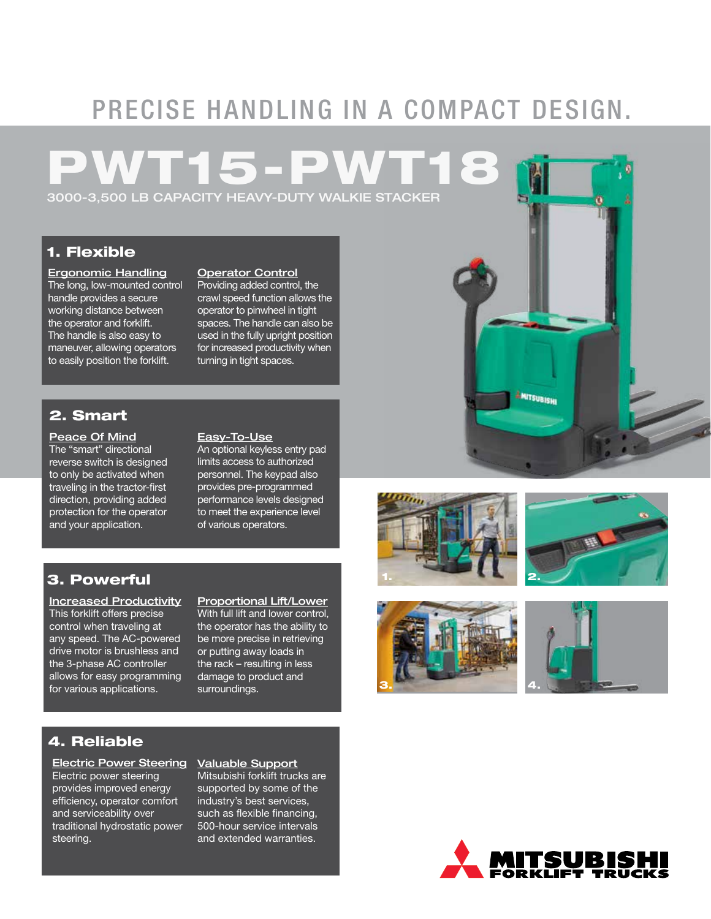# PRECISE HANDLING IN A COMPACT DESIGN.

## PWT15-PWT18 3000-3,500 LB CAPACITY HEAVY-DUTY WALKIE STACKER

1. Flexible

Ergonomic Handling The long, low-mounted control handle provides a secure working distance between the operator and forklift. The handle is also easy to maneuver, allowing operators to easily position the forklift.

#### Operator Control

Providing added control, the crawl speed function allows the operator to pinwheel in tight spaces. The handle can also be used in the fully upright position for increased productivity when turning in tight spaces.

### 2. Smart

#### Peace Of Mind

The "smart" directional reverse switch is designed to only be activated when traveling in the tractor-first direction, providing added protection for the operator and your application.

#### Easy-To-Use

An optional keyless entry pad limits access to authorized personnel. The keypad also provides pre-programmed performance levels designed to meet the experience level of various operators.

### 3. Powerful

Increased Productivity This forklift offers precise control when traveling at any speed. The AC-powered drive motor is brushless and the 3-phase AC controller allows for easy programming for various applications.

Proportional Lift/Lower With full lift and lower control, the operator has the ability to be more precise in retrieving or putting away loads in the rack – resulting in less damage to product and surroundings.

## 4. Reliable

Electric Power Steering Electric power steering provides improved energy efficiency, operator comfort and serviceability over traditional hydrostatic power steering.

#### Valuable Support

Mitsubishi forklift trucks are supported by some of the industry's best services, such as flexible financing, 500-hour service intervals and extended warranties.





**ANITSUBISHI**